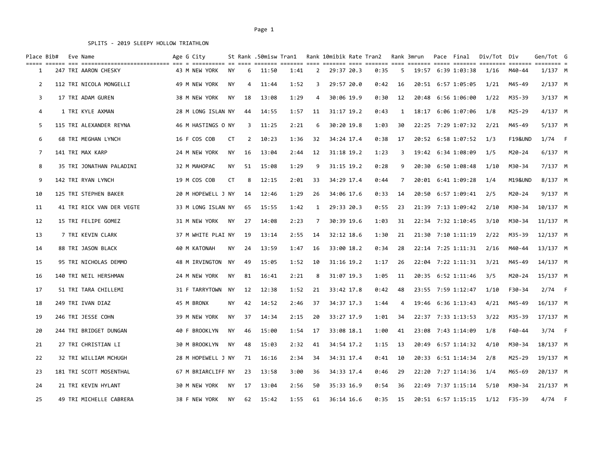| Place Bib# |  | Eve Name                  | Age G City         |           |    | St Rank .50misw Tran1 |      |    |              | Rank 10mibik Rate Tran2 |    | Rank 3mrun | Pace Final         | Div/Tot Div |                    | Gen/Tot G                            |   |
|------------|--|---------------------------|--------------------|-----------|----|-----------------------|------|----|--------------|-------------------------|----|------------|--------------------|-------------|--------------------|--------------------------------------|---|
| 1          |  | 247 TRI AARON CHESKY      | 43 M NEW YORK      | ΝY        | 6  | 11:50                 | 1:41 | 2  | 29:37 20.3   | 0:35                    | 5  |            | 19:57 6:39 1:03:38 | 1/16        | M40-44             | $=$ $=$ $=$ $=$ $=$ $=$<br>$1/137$ M |   |
| 2          |  | 112 TRI NICOLA MONGELLI   | 49 M NEW YORK      | <b>NY</b> | 4  | 11:44                 | 1:52 | 3  | 29:57 20.0   | 0:42                    | 16 |            | 20:51 6:57 1:05:05 | 1/21        | M45-49             | $2/137$ M                            |   |
| 3          |  | 17 TRI ADAM GUREN         | 38 M NEW YORK      | ΝY        | 18 | 13:08                 | 1:29 | 4  | 30:06 19.9   | 0:30                    | 12 | 20:48      | 6:56 1:06:00       | 1/22        | M35-39             | $3/137$ M                            |   |
| 4          |  | 1 TRI KYLE AXMAN          | 28 M LONG ISLAN NY |           | 44 | 14:55                 | 1:57 | 11 | 31:17 19.2   | 0:43                    | 1  |            | 18:17 6:06 1:07:06 | 1/8         | M25-29             | $4/137$ M                            |   |
| 5          |  | 115 TRI ALEXANDER REYNA   | 46 M HASTINGS O NY |           | 3  | 11:25                 | 2:21 | 6  | 30:20 19.8   | 1:03                    | 30 |            | 22:25 7:29 1:07:32 | 2/21        | M45-49             | $5/137$ M                            |   |
| 6          |  | 68 TRI MEGHAN LYNCH       | 16 F COS COB       | CT        | 2  | 10:23                 | 1:36 | 32 | 34:24 17.4   | 0:38                    | 17 |            | 20:52 6:58 1:07:52 | 1/3         | <b>F19&amp;UND</b> | $1/74$ F                             |   |
| 7          |  | 141 TRI MAX KARP          | 24 M NEW YORK      | NY        | 16 | 13:04                 | 2:44 | 12 | 31:18 19.2   | 1:23                    | 3  |            | 19:42 6:34 1:08:09 | 1/5         | M20-24             | $6/137$ M                            |   |
| 8          |  | 35 TRI JONATHAN PALADINI  | 32 M MAHOPAC       | <b>NY</b> | 51 | 15:08                 | 1:29 | 9  | 31:15 19.2   | 0:28                    | 9  | 20:30      | 6:50 1:08:48       | 1/10        | M30-34             | 7/137 M                              |   |
| 9          |  | 142 TRI RYAN LYNCH        | 19 M COS COB       | <b>CT</b> | 8  | 12:15                 | 2:01 | 33 | 34:29 17.4   | 0:44                    | 7  |            | 20:01 6:41 1:09:28 | 1/4         | M19&UND            | $8/137$ M                            |   |
| 10         |  | 125 TRI STEPHEN BAKER     | 20 M HOPEWELL J NY |           | 14 | 12:46                 | 1:29 | 26 | 34:06 17.6   | 0:33                    | 14 |            | 20:50 6:57 1:09:41 | 2/5         | M20-24             | 9/137 M                              |   |
| 11         |  | 41 TRI RICK VAN DER VEGTE | 33 M LONG ISLAN NY |           | 65 | 15:55                 | 1:42 | 1  | 29:33 20.3   | 0:55                    | 23 |            | 21:39 7:13 1:09:42 | 2/10        | M30-34             | 10/137 M                             |   |
| 12         |  | 15 TRI FELIPE GOMEZ       | 31 M NEW YORK      | NY        | 27 | 14:08                 | 2:23 | 7  | 30:39 19.6   | 1:03                    | 31 |            | 22:34 7:32 1:10:45 | 3/10        | M30-34             | $11/137$ M                           |   |
| 13         |  | 7 TRI KEVIN CLARK         | 37 M WHITE PLAI NY |           | 19 | 13:14                 | 2:55 | 14 | 32:12 18.6   | 1:30                    | 21 |            | 21:30 7:10 1:11:19 | 2/22        | M35-39             | $12/137$ M                           |   |
| 14         |  | 88 TRI JASON BLACK        | 40 M KATONAH       | ΝY        | 24 | 13:59                 | 1:47 | 16 | 33:00 18.2   | 0:34                    | 28 |            | 22:14 7:25 1:11:31 | 2/16        | M40-44             | 13/137 M                             |   |
| 15         |  | 95 TRI NICHOLAS DEMMO     | 48 M IRVINGTON NY  |           | 49 | 15:05                 | 1:52 | 10 | $31:16$ 19.2 | 1:17                    | 26 |            | 22:04 7:22 1:11:31 | 3/21        | M45-49             | 14/137 M                             |   |
| 16         |  | 140 TRI NEIL HERSHMAN     | 24 M NEW YORK      | ΝY        | 81 | 16:41                 | 2:21 | 8  | 31:07 19.3   | 1:05                    | 11 | 20:35      | 6:52 1:11:46       | 3/5         | M20-24             | 15/137 M                             |   |
| 17         |  | 51 TRI TARA CHILLEMI      | 31 F TARRYTOWN     | NY        | 12 | 12:38                 | 1:52 | 21 | 33:42 17.8   | 0:42                    | 48 |            | 23:55 7:59 1:12:47 | 1/10        | F30-34             | $2/74$ F                             |   |
| 18         |  | 249 TRI IVAN DIAZ         | 45 M BRONX         | ΝY        | 42 | 14:52                 | 2:46 | 37 | 34:37 17.3   | 1:44                    | 4  | 19:46      | 6:36 1:13:43       | 4/21        | M45-49             | $16/137$ M                           |   |
| 19         |  | 246 TRI JESSE COHN        | 39 M NEW YORK      | <b>NY</b> | 37 | 14:34                 | 2:15 | 20 | 33:27 17.9   | 1:01                    | 34 |            | 22:37 7:33 1:13:53 | 3/22        | M35-39             | 17/137 M                             |   |
| 20         |  | 244 TRI BRIDGET DUNGAN    | 40 F BROOKLYN      | ΝY        | 46 | 15:00                 | 1:54 | 17 | 33:08 18.1   | 1:00                    | 41 |            | 23:08 7:43 1:14:09 | 1/8         | F40-44             | $3/74$ F                             |   |
| 21         |  | 27 TRI CHRISTIAN LI       | 30 M BROOKLYN      | <b>NY</b> | 48 | 15:03                 | 2:32 | 41 | 34:54 17.2   | 1:15                    | 13 |            | 20:49 6:57 1:14:32 | 4/10        | M30-34             | 18/137 M                             |   |
| 22         |  | 32 TRI WILLIAM MCHUGH     | 28 M HOPEWELL J NY |           | 71 | 16:16                 | 2:34 | 34 | 34:31 17.4   | 0:41                    | 10 |            | 20:33 6:51 1:14:34 | 2/8         | M25-29             | 19/137 M                             |   |
| 23         |  | 181 TRI SCOTT MOSENTHAL   | 67 M BRIARCLIFF NY |           | 23 | 13:58                 | 3:00 | 36 | 34:33 17.4   | 0:46                    | 29 |            | 22:20 7:27 1:14:36 | 1/4         | M65-69             | 20/137 M                             |   |
| 24         |  | 21 TRI KEVIN HYLANT       | 30 M NEW YORK      | ΝY        | 17 | 13:04                 | 2:56 | 50 | 35:33 16.9   | 0:54                    | 36 |            | 22:49 7:37 1:15:14 | 5/10        | M30-34             | $21/137$ M                           |   |
| 25         |  | 49 TRI MICHELLE CABRERA   | 38 F NEW YORK      | <b>NY</b> | 62 | 15:42                 | 1:55 | 61 | 36:14 16.6   | 0:35                    | 15 |            | 20:51 6:57 1:15:15 | 1/12        | $F35 - 39$         | 4/74                                 | F |

#### Page 1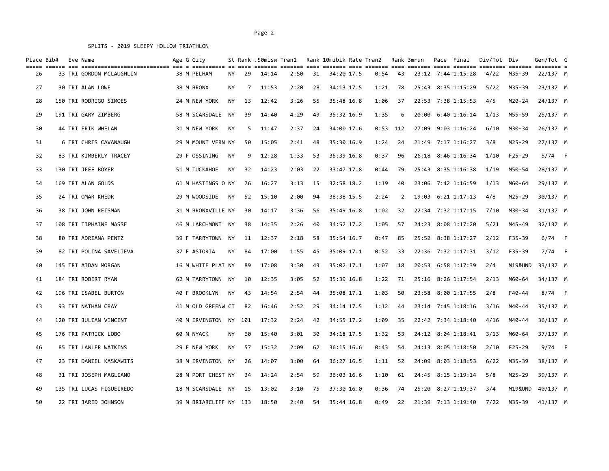| Place Bib# |  | Eve Name                 | Age G City             |           |      | St Rank .50misw Tran1 |      |    | Rank 10mibik Rate Tran2 |      |            | Rank 3mrun | Pace Final         | Div/Tot Div |            | Gen/Tot G<br>$=$ $=$ $=$ $=$ $=$ $=$ |  |
|------------|--|--------------------------|------------------------|-----------|------|-----------------------|------|----|-------------------------|------|------------|------------|--------------------|-------------|------------|--------------------------------------|--|
| 26         |  | 33 TRI GORDON MCLAUGHLIN | 38 M PELHAM            | NY        | 29   | 14:14                 | 2:50 | 31 | 34:20 17.5              | 0:54 | 43         |            | 23:12 7:44 1:15:28 | 4/22        | M35-39     | 22/137 M                             |  |
| 27         |  | 30 TRI ALAN LOWE         | 38 M BRONX             | ΝY        | 7    | 11:53                 | 2:20 | 28 | 34:13 17.5              | 1:21 | 78         | 25:43      | 8:35 1:15:29       | 5/22        | M35-39     | 23/137 M                             |  |
| 28         |  | 150 TRI RODRIGO SIMOES   | 24 M NEW YORK          | <b>NY</b> | 13   | 12:42                 | 3:26 | 55 | 35:48 16.8              | 1:06 | 37         |            | 22:53 7:38 1:15:53 | 4/5         | M20-24     | 24/137 M                             |  |
| 29         |  | 191 TRI GARY ZIMBERG     | 58 M SCARSDALE         | <b>NY</b> | 39   | 14:40                 | 4:29 | 49 | 35:32 16.9              | 1:35 | 6          | 20:00      | $6:40$ $1:16:14$   | 1/13        | M55-59     | 25/137 M                             |  |
| 30         |  | 44 TRI ERIK WHELAN       | 31 M NEW YORK          | ΝY        | -5   | 11:47                 | 2:37 | 24 | 34:00 17.6              |      | $0:53$ 112 | 27:09      | 9:03 1:16:24       | 6/10        | M30-34     | 26/137 M                             |  |
| 31         |  | 6 TRI CHRIS CAVANAUGH    | 29 M MOUNT VERN NY     |           | 50   | 15:05                 | 2:41 | 48 | 35:30 16.9              | 1:24 | 24         |            | 21:49 7:17 1:16:27 | 3/8         | M25-29     | 27/137 M                             |  |
| 32         |  | 83 TRI KIMBERLY TRACEY   | 29 F OSSINING          | <b>NY</b> | 9    | 12:28                 | 1:33 | 53 | 35:39 16.8              | 0:37 | 96         |            | 26:18 8:46 1:16:34 | 1/10        | $F25 - 29$ | $5/74$ F                             |  |
| 33         |  | 130 TRI JEFF BOYER       | 51 M TUCKAHOE          | ΝY        | 32   | 14:23                 | 2:03 | 22 | 33:47 17.8              | 0:44 | 79         |            | 25:43 8:35 1:16:38 | 1/19        | M50-54     | 28/137 M                             |  |
| 34         |  | 169 TRI ALAN GOLDS       | 61 M HASTINGS O NY     |           | 76   | 16:27                 | 3:13 | 15 | 32:58 18.2              | 1:19 | 40         |            | 23:06 7:42 1:16:59 | 1/13        | M60-64     | 29/137 M                             |  |
| 35         |  | 24 TRI OMAR KHEDR        | 29 M WOODSIDE          | NΥ        | 52   | 15:10                 | 2:00 | 94 | 38:38 15.5              | 2:24 | 2          |            | 19:03 6:21 1:17:13 | 4/8         | M25-29     | 30/137 M                             |  |
| 36         |  | 38 TRI JOHN REISMAN      | 31 M BRONXVILLE NY     |           | 30   | 14:17                 | 3:36 | 56 | 35:49 16.8              | 1:02 | 32         |            | 22:34 7:32 1:17:15 | 7/10        | M30-34     | 31/137 M                             |  |
| 37         |  | 108 TRI TIPHAINE MASSE   | 46 M LARCHMONT NY      |           | 38   | 14:35                 | 2:26 | 40 | 34:52 17.2              | 1:05 | 57         |            | 24:23 8:08 1:17:20 | 5/21        | M45-49     | 32/137 M                             |  |
| 38         |  | 80 TRI ADRIANA PENTZ     | 39 F TARRYTOWN         | NY        | 11   | 12:37                 | 2:18 | 58 | 35:54 16.7              | 0:47 | 85         |            | 25:52 8:38 1:17:27 | 2/12        | F35-39     | $6/74$ F                             |  |
| 39         |  | 82 TRI POLINA SAVELIEVA  | 37 F ASTORIA           | ΝY        | 84   | 17:00                 | 1:55 | 45 | 35:09 17.1              | 0:52 | 33         | 22:36      | 7:32 1:17:31       | 3/12        | F35-39     | $7/74$ F                             |  |
| 40         |  | 145 TRI AIDAN MORGAN     | 16 M WHITE PLAI NY     |           | 89   | 17:08                 | 3:30 | 43 | 35:02 17.1              | 1:07 | 18         |            | 20:53 6:58 1:17:39 | 2/4         | M19&UND    | 33/137 M                             |  |
| 41         |  | 184 TRI ROBERT RYAN      | 62 M TARRYTOWN         | NY        | 10   | 12:35                 | 3:05 | 52 | 35:39 16.8              | 1:22 | 71         | 25:16      | 8:26 1:17:54       | 2/13        | M60-64     | 34/137 M                             |  |
| 42         |  | 196 TRI ISABEL BURTON    | 40 F BROOKLYN          | <b>NY</b> | 43   | 14:54                 | 2:54 | 44 | 35:08 17.1              | 1:03 | 50         |            | 23:58 8:00 1:17:55 | 2/8         | F40-44     | $8/74$ F                             |  |
| 43         |  | 93 TRI NATHAN CRAY       | 41 M OLD GREENW CT     |           | 82   | 16:46                 | 2:52 | 29 | 34:14 17.5              | 1:12 | 44         |            | 23:14 7:45 1:18:16 | 3/16        | M40-44     | 35/137 M                             |  |
| 44         |  | 120 TRI JULIAN VINCENT   | 40 M IRVINGTON NY 101  |           |      | 17:32                 | 2:24 | 42 | 34:55 17.2              | 1:09 | 35         |            | 22:42 7:34 1:18:40 | 4/16        | M40-44     | 36/137 M                             |  |
| 45         |  | 176 TRI PATRICK LOBO     | 60 M NYACK             | <b>NY</b> | 60   | 15:40                 | 3:01 | 30 | 34:18 17.5              | 1:32 | 53         |            | 24:12 8:04 1:18:41 | 3/13        | M60-64     | 37/137 M                             |  |
| 46         |  | 85 TRI LAWLER WATKINS    | 29 F NEW YORK          | ΝY        | 57   | 15:32                 | 2:09 | 62 | 36:15 16.6              | 0:43 | 54         |            | 24:13 8:05 1:18:50 | 2/10        | $F25 - 29$ | $9/74$ F                             |  |
| 47         |  | 23 TRI DANIEL KASKAWITS  | 38 M IRVINGTON NY      |           | 26   | 14:07                 | 3:00 | 64 | 36:27 16.5              | 1:11 | 52         |            | 24:09 8:03 1:18:53 | 6/22        | M35-39     | 38/137 M                             |  |
| 48         |  | 31 TRI JOSEPH MAGLIANO   | 28 M PORT CHEST NY     |           | 34   | 14:24                 | 2:54 | 59 | 36:03 16.6              | 1:10 | 61         |            | 24:45 8:15 1:19:14 | 5/8         | M25-29     | 39/137 M                             |  |
| 49         |  | 135 TRI LUCAS FIGUEIREDO | 18 M SCARSDALE NY      |           | - 15 | 13:02                 | 3:10 | 75 | 37:30 16.0              | 0:36 | 74         |            | 25:20 8:27 1:19:37 | 3/4         | M19&UND    | 40/137 M                             |  |
| 50         |  | 22 TRI JARED JOHNSON     | 39 M BRIARCLIFF NY 133 |           |      | 18:50                 | 2:40 | 54 | 35:44 16.8              | 0:49 | 22         |            | 21:39 7:13 1:19:40 | 7/22        | M35-39     | 41/137 M                             |  |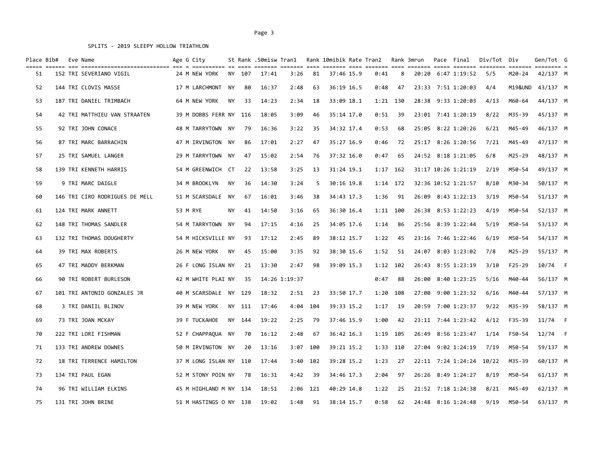| Place Bib# | Eve Name                       | Age G City             |           |        | St Rank .50misw Tran1 |               |            | Rank 10mibik Rate Tran2 |            |      |            | Rank 3mrun | Pace Final               | Div/Tot | Div        | Gen/Tot G  |  |
|------------|--------------------------------|------------------------|-----------|--------|-----------------------|---------------|------------|-------------------------|------------|------|------------|------------|--------------------------|---------|------------|------------|--|
| 51         | 152 TRI SEVERIANO VIGIL        | 24 M NEW YORK          |           | NY 107 | 17:41                 | 3:26          | 81         |                         | 37:46 15.9 | 0:41 | 8          | 20:20      | 6:47 1:19:52             | 5/5     | M20-24     | 42/137 M   |  |
| 52         | 144 TRI CLOVIS MASSE           | 17 M LARCHMONT NY      |           | 80     | 16:37                 | 2:48          | 63         |                         | 36:19 16.5 | 0:48 | 47         |            | 23:33 7:51 1:20:03       | 4/4     | M19&UND    | 43/137 M   |  |
| 53         | 187 TRI DANIEL TRIMBACH        | 64 M NEW YORK          | NY        | 33     | 14:23                 | 2:34          | 18         |                         | 33:09 18.1 |      | 1:21 130   |            | 28:38 9:33 1:20:03       | 4/13    | M60-64     | 44/137 M   |  |
| 54         | 42 TRI MATTHIEU VAN STRAATEN   | 39 M DOBBS FERR NY 116 |           |        | 18:05                 | 3:09          | 46         |                         | 35:14 17.0 | 0:51 | 39         |            | 23:01 7:41 1:20:19       | 8/22    | M35-39     | 45/137 M   |  |
| 55         | 92 TRI JOHN CONACE             | 48 M TARRYTOWN NY      |           | 79     | 16:36                 | 3:22          | 35         |                         | 34:32 17.4 | 0:53 | 68         |            | 25:05 8:22 1:20:26       | 6/21    | M45-49     | 46/137 M   |  |
| 56         | 87 TRI MARC BARRACHIN          | 47 M IRVINGTON NY      |           | 86     | 17:01                 | 2:27          | 47         |                         | 35:27 16.9 | 0:46 | 72         |            | 25:17 8:26 1:20:56       | 7/21    | M45-49     | 47/137 M   |  |
| 57         | 25 TRI SAMUEL LANGER           | 29 M TARRYTOWN NY      |           | 47     | 15:02                 | 2:54          | 76         |                         | 37:32 16.0 | 0:47 | 65         |            | 24:52 8:18 1:21:05       | 6/8     | M25-29     | 48/137 M   |  |
| 58         | 139 TRI KENNETH HARRIS         | 54 M GREENWICH CT      |           | 22     | 13:58                 | 3:25          | 13         |                         | 31:24 19.1 | 1:17 | 162        |            | 31:17 10:26 1:21:19      | 2/19    | M50-54     | 49/137 M   |  |
| 59         | 9 TRI MARC DAIGLE              | 34 M BROOKLYN          | NY        | 36     | 14:30                 | 3:24          | 5          |                         | 30:16 19.8 | 1:14 | 172        |            | 32:36 10:52 1:21:57      | 8/10    | M30-34     | 50/137 M   |  |
| 60         | 146 TRI CIRO RODRIGUES DE MELL | 51 M SCARSDALE NY      |           | 67     | 16:01                 | 3:46          | 38         |                         | 34:43 17.3 | 1:36 | 91         |            | 26:09 8:43 1:22:13       | 3/19    | M50-54     | 51/137 M   |  |
| 61         | 124 TRI MARK ANNETT            | 53 M RYE               | <b>NY</b> | 41     | 14:50                 | 3:16          | 65         |                         | 36:30 16.4 |      | $1:11$ 100 |            | 26:38 8:53 1:22:23       | 4/19    | M50-54     | 52/137 M   |  |
| 62         | 148 TRI THOMAS SANDLER         | 54 M TARRYTOWN         | NY        | 94     | 17:15                 | 4:16          | 25         |                         | 34:05 17.6 | 1:14 | 86         |            | 25:56 8:39 1:22:44       | 5/19    | M50-54     | 53/137 M   |  |
| 63         | 132 TRI THOMAS DOUGHERTY       | 54 M HICKSVILLE NY     |           | 93     | 17:12                 | 2:45          | 89         |                         | 38:12 15.7 | 1:22 | 45         |            | 23:16 7:46 1:22:46       | 6/19    | M50-54     | 54/137 M   |  |
| 64         | 39 TRI MAX ROBERTS             | 26 M NEW YORK          | NY        | 45     | 15:00                 | 3:35          | 92         |                         | 38:30 15.6 | 1:52 | 51         |            | 24:07 8:03 1:23:02       | 7/8     | M25-29     | 55/137 M   |  |
| 65         | 47 TRI MADDY BERKMAN           | 26 F LONG ISLAN NY     |           | 21     | 13:30                 | 2:47          | 98         |                         | 39:09 15.3 | 1:12 | 102        |            | 26:43 8:55 1:23:19       | 3/10    | $F25 - 29$ | 10/74 F    |  |
| 66         | 90 TRI ROBERT BURLESON         | 42 M WHITE PLAI NY     |           | 35     |                       | 14:26 1:19:37 |            |                         |            | 0:47 | 88         | 26:00      | 8:40 1:23:25             | 5/16    | M40-44     | 56/137 M   |  |
| 67         | 101 TRI ANTONIO GONZALES JR    | 40 M SCARSDALE NY 129  |           |        | 18:32                 | 2:51          | 23         |                         | 33:50 17.7 | 1:20 | 108        | 27:00      | 9:00 1:23:32             | 6/16    | M40-44     | 57/137 M   |  |
| 68         | 3 TRI DANIIL BLINOV            | 39 M NEW YORK          |           | NY 111 | 17:46                 | 4:04          | 104        |                         | 39:33 15.2 | 1:17 | 19         |            | 20:59 7:00 1:23:37       | 9/22    | M35-39     | 58/137 M   |  |
| 69         | 73 TRI JOAN MCKAY              | 39 F TUCKAHOE          |           | NY 144 | 19:22                 | 2:25          | - 79       |                         | 37:46 15.9 | 1:00 | 42         |            | 23:11 7:44 1:23:42       | 4/12    | F35-39     | $11/74$ F  |  |
| 70         | 222 TRI LORI FISHMAN           | 52 F CHAPPAQUA NY      |           | 70     | 16:12                 | 2:48          | 67         |                         | 36:42 16.3 | 1:19 | 105        |            | 26:49 8:56 1:23:47       | 1/14    | F50-54     | $12/74$ F  |  |
| 71         | 133 TRI ANDREW DOWNES          | 50 M IRVINGTON NY      |           | 20     | 13:16                 |               | $3:07$ 100 |                         | 39:21 15.2 |      | 1:33 110   | 27:04      | 9:02 1:24:19             | 7/19    | M50-54     | 59/137 M   |  |
| 72         | 18 TRI TERRENCE HAMILTON       | 37 M LONG ISLAN NY 110 |           |        | 17:44                 |               | $3:40$ 102 |                         | 39:28 15.2 | 1:23 | 27         |            | 22:11 7:24 1:24:24 10/22 |         | M35-39     | 60/137 M   |  |
| 73         | 134 TRI PAUL EGAN              | 52 M STONY POIN NY     |           | - 78   | 16:31                 | 4:42          | 39         |                         | 34:46 17.3 | 2:04 | 97         |            | 26:26 8:49 1:24:27       | 8/19    | M50-54     | 61/137 M   |  |
| 74         | 96 TRI WILLIAM ELKINS          | 45 M HIGHLAND M NY 134 |           |        | 18:51                 |               | 2:06 121   |                         | 40:29 14.8 | 1:22 | 25         |            | 21:52 7:18 1:24:38       | 8/21    | M45-49     | $62/137$ M |  |
| 75         | 131 TRI JOHN BRINE             | 51 M HASTINGS O NY 138 |           |        | 19:02                 | 1:48          | 91         |                         | 38:14 15.7 | 0:58 | 62         |            | 24:48 8:16 1:24:48       | 9/19    | M50-54     | 63/137 M   |  |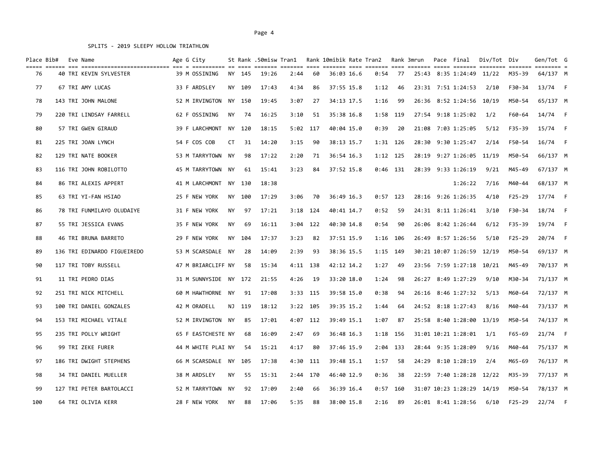| Place Bib# |  | Eve Name                    | Age G City<br>=========== == ==== |           |        | St Rank .50misw Tran1 |      |            | Rank 10mibik Rate Tran2 |          |            | Rank 3mrun | Pace Final                | Div/Tot Div |            | Gen/Tot G<br>$=$ ======== |      |
|------------|--|-----------------------------|-----------------------------------|-----------|--------|-----------------------|------|------------|-------------------------|----------|------------|------------|---------------------------|-------------|------------|---------------------------|------|
| 76         |  | 40 TRI KEVIN SYLVESTER      | 39 M OSSINING                     |           | NY 145 | 19:26                 | 2:44 | 60         | 36:03 16.6              | 0:54     | 77         |            | 25:43 8:35 1:24:49        | 11/22       | M35-39     | 64/137 M                  |      |
| 77         |  | 67 TRI AMY LUCAS            | 33 F ARDSLEY                      |           | NY 109 | 17:43                 | 4:34 | 86         | 37:55 15.8              | 1:12     | 46         |            | 23:31 7:51 1:24:53        | 2/10        | F30-34     | $13/74$ F                 |      |
| 78         |  | 143 TRI JOHN MALONE         | 52 M IRVINGTON NY 150             |           |        | 19:45                 | 3:07 | 27         | 34:13 17.5              | 1:16     | 99         |            | 26:36 8:52 1:24:56 10/19  |             | M50-54     | 65/137 M                  |      |
| 79         |  | 220 TRI LINDSAY FARRELL     | 62 F OSSINING                     | NY.       | 74     | 16:25                 | 3:10 | 51         | 35:38 16.8              |          | 1:58 119   |            | 27:54 9:18 1:25:02        | 1/2         | F60-64     | 14/74                     | F    |
| 80         |  | 57 TRI GWEN GIRAUD          | 39 F LARCHMONT                    |           | NY 120 | 18:15                 |      | $5:02$ 117 | 40:04 15.0              | 0:39     | 20         |            | 21:08 7:03 1:25:05        | 5/12        | F35-39     | $15/74$ F                 |      |
| 81         |  | 225 TRI JOAN LYNCH          | 54 F COS COB                      | CT        | 31     | 14:20                 | 3:15 | 90         | 38:13 15.7              |          | 1:31 126   |            | 28:30 9:30 1:25:47        | 2/14        | F50-54     | 16/74 F                   |      |
| 82         |  | 129 TRI NATE BOOKER         | 53 M TARRYTOWN NY                 |           | 98     | 17:22                 | 2:20 | 71         | 36:54 16.3              |          | 1:12 125   |            | 28:19 9:27 1:26:05 11/19  |             | M50-54     | 66/137 M                  |      |
| 83         |  | 116 TRI JOHN ROBILOTTO      | 45 M TARRYTOWN NY                 |           | 61     | 15:41                 | 3:23 | 84         | 37:52 15.8              |          | $0:46$ 131 |            | 28:39 9:33 1:26:19        | 9/21        | M45-49     | 67/137 M                  |      |
| 84         |  | 86 TRI ALEXIS APPERT        | 41 M LARCHMONT NY 130             |           |        | 18:38                 |      |            |                         |          |            |            | 1:26:22                   | 7/16        | M40-44     | 68/137 M                  |      |
| 85         |  | 63 TRI YI-FAN HSIAO         | 25 F NEW YORK                     |           | NY 100 | 17:29                 | 3:06 | 70         | 36:49 16.3              |          | $0:57$ 123 |            | 28:16 9:26 1:26:35        | 4/10        | $F25 - 29$ | $17/74$ F                 |      |
| 86         |  | 78 TRI FUNMILAYO OLUDAIYE   | 31 F NEW YORK                     | <b>NY</b> | 97     | 17:21                 |      | $3:18$ 124 | 40:41 14.7              | 0:52     | 59         |            | 24:31 8:11 1:26:41        | 3/10        | F30-34     | 18/74                     | $-F$ |
| 87         |  | 55 TRI JESSICA EVANS        | 35 F NEW YORK                     | <b>NY</b> | 69     | 16:11                 | 3:04 | 122        | 40:30 14.8              | 0:54     | 90         |            | 26:06 8:42 1:26:44        | 6/12        | F35-39     | 19/74                     | F    |
| 88         |  | 46 TRI BRUNA BARRETO        | 29 F NEW YORK                     |           | NY 104 | 17:37                 | 3:23 | 82         | 37:51 15.9              | 1:16 106 |            |            | 26:49 8:57 1:26:56        | 5/10        | $F25 - 29$ | 20/74 F                   |      |
| 89         |  | 136 TRI EDINARDO FIGUEIREDO | 53 M SCARSDALE                    | <b>NY</b> | 28     | 14:09                 | 2:39 | 93         | 38:36 15.5              | 1:15     | 149        |            | 30:21 10:07 1:26:59       | 12/19       | M50-54     | 69/137 M                  |      |
| 90         |  | 117 TRI TOBY RUSSELL        | 47 M BRIARCLIFF NY                |           | 58     | 15:34                 |      | $4:11$ 138 | 42:12 14.2              | 1:27     | 49         |            | 23:56 7:59 1:27:18        | 10/21       | M45-49     | 70/137 M                  |      |
| 91         |  | 11 TRI PEDRO DIAS           | 31 M SUNNYSIDE NY 172             |           |        | 21:55                 | 4:26 | 19         | 33:20 18.0              | 1:24     | 98         |            | 26:27 8:49 1:27:29        | 9/10        | M30-34     | 71/137 M                  |      |
| 92         |  | 251 TRI NICK MITCHELL       | 60 M HAWTHORNE NY                 |           | 91     | 17:08                 |      | $3:33$ 115 | 39:58 15.0              | 0:38     | 94         |            | 26:16 8:46 1:27:32        | 5/13        | M60-64     | 72/137 M                  |      |
| 93         |  | 100 TRI DANIEL GONZALES     | 42 M ORADELL                      |           | NJ 119 | 18:12                 |      | $3:22$ 105 | 39:35 15.2              | 1:44     | 64         |            | 24:52 8:18 1:27:43        | 8/16        | M40-44     | 73/137 M                  |      |
| 94         |  | 153 TRI MICHAEL VITALE      | 52 M IRVINGTON NY                 |           | 85     | 17:01                 |      | 4:07 112   | 39:49 15.1              | 1:07     | 87         |            | 25:58 8:40 1:28:00        | 13/19       | M50-54     | 74/137 M                  |      |
| 95         |  | 235 TRI POLLY WRIGHT        | 65 F EASTCHESTE NY                |           | 68     | 16:09                 | 2:47 | 69         | 36:48 16.3              |          | 1:18 156   |            | 31:01 10:21 1:28:01       | 1/1         | F65-69     | $21/74$ F                 |      |
| 96         |  | 99 TRI ZEKE FURER           | 44 M WHITE PLAI NY                |           | 54     | 15:21                 | 4:17 | 80         | 37:46 15.9              |          | 2:04 133   |            | 28:44 9:35 1:28:09        | 9/16        | M40-44     | 75/137 M                  |      |
| 97         |  | 186 TRI DWIGHT STEPHENS     | 66 M SCARSDALE NY 105             |           |        | 17:38                 |      | 4:30 111   | 39:48 15.1              | 1:57     | 58         |            | 24:29 8:10 1:28:19        | 2/4         | M65-69     | 76/137 M                  |      |
| 98         |  | 34 TRI DANIEL MUELLER       | 38 M ARDSLEY                      | ΝY        | 55     | 15:31                 |      | 2:44 170   | 46:40 12.9              | 0:36     | 38         |            | 22:59 7:40 1:28:28        | 12/22       | M35-39     | 77/137 M                  |      |
| 99         |  | 127 TRI PETER BARTOLACCI    | 52 M TARRYTOWN NY                 |           | 92     | 17:09                 | 2:40 | 66         | 36:39 16.4              | 0:57     | 160        |            | 31:07 10:23 1:28:29 14/19 |             | M50-54     | 78/137 M                  |      |
| 100        |  | 64 TRI OLIVIA KERR          | 28 F NEW YORK                     | NY.       | 88     | 17:06                 | 5:35 | 88         | 38:00 15.8              | 2:16     | 89         |            | 26:01 8:41 1:28:56        | 6/10        | $F25 - 29$ | 22/74                     | F    |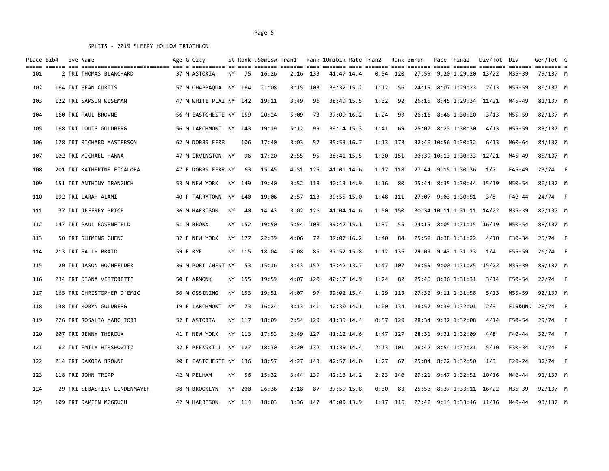| Place Bib# |  | Eve Name                     | Age G City<br>---------- -- ---- |           |        | St Rank .50misw Tran1 |      |            | Rank 10mibik Rate Tran2 |            |            | Rank 3mrun | Pace Final                | Div/Tot Div |            | Gen/Tot G<br>$=$ $=$ $=$ $=$ $=$ $=$ |                |
|------------|--|------------------------------|----------------------------------|-----------|--------|-----------------------|------|------------|-------------------------|------------|------------|------------|---------------------------|-------------|------------|--------------------------------------|----------------|
| 101        |  | 2 TRI THOMAS BLANCHARD       | 37 M ASTORIA                     | NY.       | 75     | 16:26                 |      | $2:16$ 133 | 41:47 14.4              |            | $0:54$ 120 | 27:59      | 9:20 1:29:20              | 13/22       | M35-39     | 79/137 M                             |                |
| 102        |  | 164 TRI SEAN CURTIS          | 57 M CHAPPAQUA NY 164            |           |        | 21:08                 | 3:15 | 103        | 39:32 15.2              | 1:12       | 56         | 24:19      | 8:07 1:29:23              | 2/13        | M55-59     | 80/137 M                             |                |
| 103        |  | 122 TRI SAMSON WISEMAN       | 47 M WHITE PLAI NY 142           |           |        | 19:11                 | 3:49 | 96         | 38:49 15.5              | 1:32       | 92         |            | 26:15 8:45 1:29:34 11/21  |             | M45-49     | 81/137 M                             |                |
| 104        |  | 160 TRI PAUL BROWNE          | 56 M EASTCHESTE NY 159           |           |        | 20:24                 | 5:09 | 73         | 37:09 16.2              | 1:24       | 93         |            | 26:16 8:46 1:30:20        | 3/13        | M55-59     | 82/137 M                             |                |
| 105        |  | 168 TRI LOUIS GOLDBERG       | 56 M LARCHMONT NY 143            |           |        | 19:19                 | 5:12 | 99         | 39:14 15.3              | 1:41       | 69         |            | 25:07 8:23 1:30:30        | 4/13        | M55-59     | 83/137 M                             |                |
| 106        |  | 178 TRI RICHARD MASTERSON    | 62 M DOBBS FERR                  |           | 106    | 17:40                 | 3:03 | 57         | 35:53 16.7              | $1:13$ 173 |            |            | 32:46 10:56 1:30:32       | 6/13        | M60-64     | 84/137 M                             |                |
| 107        |  | 102 TRI MICHAEL HANNA        | 47 M IRVINGTON NY                |           | 96     | 17:20                 | 2:55 | 95         | 38:41 15.5              | 1:00 151   |            |            | 30:39 10:13 1:30:33 12/21 |             | M45-49     | 85/137 M                             |                |
| 108        |  | 201 TRI KATHERINE FICALORA   | 47 F DOBBS FERR NY               |           | 63     | 15:45                 |      | $4:51$ 125 | 41:01 14.6              | $1:17$ 118 |            |            | 27:44 9:15 1:30:36        | 1/7         | $F45 - 49$ | 23/74 F                              |                |
| 109        |  | 151 TRI ANTHONY TRANGUCH     | 53 M NEW YORK                    |           | NY 149 | 19:40                 |      | $3:52$ 118 | 40:13 14.9              | 1:16       | 80         |            | 25:44 8:35 1:30:44 15/19  |             | M50-54     | 86/137 M                             |                |
| 110        |  | 192 TRI LARAH ALAMI          | 40 F TARRYTOWN                   | <b>NY</b> | 140    | 19:06                 |      | $2:57$ 113 | 39:55 15.0              | 1:48       | 111        |            | 27:07 9:03 1:30:51        | 3/8         | F40-44     | 24/74 F                              |                |
| 111        |  | 37 TRI JEFFREY PRICE         | 36 M HARRISON                    | NY.       | 40     | 14:43                 |      | $3:02$ 126 | 41:04 14.6              | 1:50       | 150        |            | 30:34 10:11 1:31:11 14/22 |             | M35-39     | 87/137 M                             |                |
| 112        |  | 147 TRI PAUL ROSENFIELD      | 51 M BRONX                       |           | NY 152 | 19:50                 | 5:54 | 108        | 39:42 15.1              | 1:37       | 55         |            | 24:15 8:05 1:31:15 16/19  |             | M50-54     | 88/137 M                             |                |
| 113        |  | 50 TRI SHIMENG CHENG         | 32 F NEW YORK                    |           | NY 177 | 22:39                 | 4:06 | 72         | 37:07 16.2              | 1:40       | 84         |            | 25:52 8:38 1:31:22        | 4/10        | F30-34     | 25/74 F                              |                |
| 114        |  | 213 TRI SALLY BRAID          | 59 F RYE                         |           | NY 115 | 18:04                 | 5:08 | 85         | 37:52 15.8              | 1:12 135   |            | 29:09      | 9:43 1:31:23              | 1/4         | F55-59     | 26/74                                | $\overline{F}$ |
| 115        |  | 20 TRI JASON HOCHFELDER      | 36 M PORT CHEST NY               |           | 53     | 15:16                 | 3:43 | 152        | 43:42 13.7              | 1:47       | 107        | 26:59      | 9:00 1:31:25 15/22        |             | M35-39     | 89/137 M                             |                |
| 116        |  | 234 TRI DIANA VETTORETTI     | 50 F ARMONK                      |           | NY 155 | 19:59                 | 4:07 | 120        | 40:17 14.9              | 1:24       | 82         |            | 25:46 8:36 1:31:31        | 3/14        | F50-54     | 27/74 F                              |                |
| 117        |  | 165 TRI CHRISTOPHER D'EMIC   | 56 M OSSINING                    |           | NY 153 | 19:51                 | 4:07 | 97         | 39:02 15.4              | 1:29       | 113        |            | 27:32 9:11 1:31:58        | 5/13        | M55-59     | 90/137 M                             |                |
| 118        |  | 138 TRI ROBYN GOLDBERG       | 19 F LARCHMONT                   | <b>NY</b> | 73     | 16:24                 |      | $3:13$ 141 | 42:30 14.1              | 1:00       | 134        |            | 28:57 9:39 1:32:01        | 2/3         | F19&UND    | 28/74                                | F              |
| 119        |  | 226 TRI ROSALIA MARCHIORI    | 52 F ASTORIA                     |           | NY 117 | 18:09                 |      | 2:54 129   | 41:35 14.4              |            | $0:57$ 129 |            | 28:34 9:32 1:32:08        | 4/14        | F50-54     | 29/74                                | $-F$           |
| 120        |  | 207 TRI JENNY THEROUX        | 41 F NEW YORK                    |           | NY 113 | 17:53                 |      | 2:49 127   | 41:12 14.6              | 1:47 127   |            |            | 28:31 9:31 1:32:09        | 4/8         | F40-44     | 30/74 F                              |                |
| 121        |  | 62 TRI EMILY HIRSHOWITZ      | 32 F PEEKSKILL NY 127            |           |        | 18:30                 |      | $3:20$ 132 | 41:39 14.4              |            | $2:13$ 101 |            | 26:42 8:54 1:32:21        | 5/10        | F30-34     | 31/74 F                              |                |
| 122        |  | 214 TRI DAKOTA BROWNE        | 20 F EASTCHESTE NY 136           |           |        | 18:57                 |      | 4:27 143   | 42:57 14.0              | 1:27       | 67         |            | 25:04 8:22 1:32:50        | 1/3         | F20-24     | 32/74 F                              |                |
| 123        |  | 118 TRI JOHN TRIPP           | 42 M PELHAM                      | NY.       | 56     | 15:32                 |      | 3:44 139   | 42:13 14.2              | 2:03       | 140        |            | 29:21 9:47 1:32:51 10/16  |             | M40-44     | 91/137 M                             |                |
| 124        |  | 29 TRI SEBASTIEN LINDENMAYER | 38 M BROOKLYN                    |           | NY 200 | 26:36                 | 2:18 | 87         | 37:59 15.8              | 0:30       | 83         |            | 25:50 8:37 1:33:11 16/22  |             | M35-39     | 92/137 M                             |                |
| 125        |  | 109 TRI DAMIEN MCGOUGH       | 42 M HARRISON                    |           | NY 114 | 18:03                 |      | $3:36$ 147 | 43:09 13.9              |            | $1:17$ 116 |            | 27:42 9:14 1:33:46 11/16  |             | M40-44     | 93/137 M                             |                |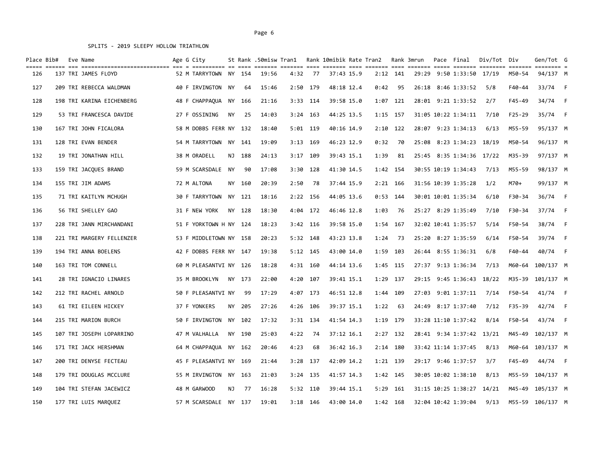| Place Bib# |  | Eve Name                  | Age G City             |           |        | St Rank .50misw Tran1 |      |            | Rank 10mibik Rate Tran2 |            |            | Rank 3mrun | Pace Final                | Div/Tot Div |          | Gen/Tot G<br>$=$ ======== |      |
|------------|--|---------------------------|------------------------|-----------|--------|-----------------------|------|------------|-------------------------|------------|------------|------------|---------------------------|-------------|----------|---------------------------|------|
| 126        |  | 137 TRI JAMES FLOYD       | 52 M TARRYTOWN NY 154  |           |        | 19:56                 | 4:32 | 77         | 37:43 15.9              |            | $2:12$ 141 |            | 29:29 9:50 1:33:50        | 17/19       | M50-54   | 94/137 M                  |      |
| 127        |  | 209 TRI REBECCA WALDMAN   | 40 F IRVINGTON NY      |           | 64     | 15:46                 | 2:50 | 179        | 48:18 12.4              | 0:42       | 95         |            | 26:18 8:46 1:33:52        | 5/8         | F40-44   | 33/74 F                   |      |
| 128        |  | 198 TRI KARINA EICHENBERG | 48 F CHAPPAQUA NY 166  |           |        | 21:16                 |      | 3:33 114   | 39:58 15.0              | 1:07 121   |            |            | 28:01 9:21 1:33:52        | 2/7         | F45-49   | 34/74                     | $-F$ |
| 129        |  | 53 TRI FRANCESCA DAVIDE   | 27 F OSSINING          | <b>NY</b> | 25     | 14:03                 |      | $3:24$ 163 | 44:25 13.5              | $1:15$ 157 |            |            | 31:05 10:22 1:34:11       | 7/10        | $F25-29$ | 35/74 F                   |      |
| 130        |  | 167 TRI JOHN FICALORA     | 58 M DOBBS FERR NY 132 |           |        | 18:40                 |      | $5:01$ 119 | 40:16 14.9              |            | $2:10$ 122 |            | 28:07 9:23 1:34:13        | 6/13        | M55-59   | 95/137 M                  |      |
| 131        |  | 128 TRI EVAN BENDER       | 54 M TARRYTOWN NY 141  |           |        | 19:09                 |      | $3:13$ 169 | 46:23 12.9              | 0:32       | 70         |            | 25:08 8:23 1:34:23 18/19  |             | M50-54   | 96/137 M                  |      |
| 132        |  | 19 TRI JONATHAN HILL      | 38 M ORADELL           |           | NJ 188 | 24:13                 |      | 3:17 109   | 39:43 15.1              | 1:39       | 81         |            | 25:45 8:35 1:34:36 17/22  |             | M35-39   | 97/137 M                  |      |
| 133        |  | 159 TRI JACOUES BRAND     | 59 M SCARSDALE NY      |           | 90     | 17:08                 | 3:30 | 128        | 41:30 14.5              | 1:42 154   |            |            | 30:55 10:19 1:34:43       | 7/13        | M55-59   | 98/137 M                  |      |
| 134        |  | 155 TRI JIM ADAMS         | 72 M ALTONA            |           | NY 160 | 20:39                 | 2:50 | 78         | 37:44 15.9              |            | $2:21$ 166 |            | 31:56 10:39 1:35:28       | 1/2         | M70+     | 99/137 M                  |      |
| 135        |  | 71 TRI KAITLYN MCHUGH     | 30 F TARRYTOWN         |           | NY 121 | 18:16                 |      | 2:22 156   | 44:05 13.6              | $0:53$ 144 |            |            | 30:01 10:01 1:35:34       | 6/10        | F30-34   | 36/74 F                   |      |
| 136        |  | 56 TRI SHELLEY GAO        | 31 F NEW YORK          |           | NY 128 | 18:30                 |      | 4:04 172   | 46:46 12.8              | 1:03       | 76         |            | 25:27 8:29 1:35:49        | 7/10        | F30-34   | 37/74 F                   |      |
| 137        |  | 228 TRI JANN MIRCHANDANI  | 51 F YORKTOWN H NY 124 |           |        | 18:23                 |      | $3:42$ 116 | 39:58 15.0              | 1:54       | 167        |            | 32:02 10:41 1:35:57       | 5/14        | F50-54   | 38/74 F                   |      |
| 138        |  | 221 TRI MARGERY FELLENZER | 53 F MIDDLETOWN NY 158 |           |        | 20:23                 |      | $5:32$ 148 | 43:23 13.8              | 1:24       | 73         |            | 25:20 8:27 1:35:59        | 6/14        | F50-54   | 39/74 F                   |      |
| 139        |  | 194 TRI ANNA BOELENS      | 42 F DOBBS FERR NY 147 |           |        | 19:38                 |      | $5:12$ 145 | 43:00 14.0              | 1:59       | 103        |            | 26:44 8:55 1:36:31        | 6/8         | F40-44   | 40/74                     | $-F$ |
| 140        |  | 163 TRI TOM CONNELL       | 60 M PLEASANTVI NY 126 |           |        | 18:28                 |      | 4:31 160   | 44:14 13.6              | 1:45 115   |            |            | 27:37 9:13 1:36:34        | 7/13        | M60-64   | 100/137 M                 |      |
| 141        |  | 28 TRI IGNACIO LINARES    | 35 M BROOKLYN          |           | NY 173 | 22:00                 | 4:20 | 107        | 39:41 15.1              | 1:29       | 137        |            | 29:15 9:45 1:36:43        | 18/22       |          | M35-39 101/137 M          |      |
| 142        |  | 212 TRI RACHEL ARNOLD     | 50 F PLEASANTVI NY     |           | 99     | 17:29                 |      | 4:07 173   | 46:51 12.8              | 1:44       | 109        |            | 27:03 9:01 1:37:11        | 7/14        | F50-54   | 41/74 F                   |      |
| 143        |  | 61 TRI EILEEN HICKEY      | 37 F YONKERS           |           | NY 205 | 27:26                 | 4:26 | 106        | 39:37 15.1              | 1:22       | 63         |            | 24:49 8:17 1:37:40        | 7/12        | F35-39   | 42/74                     | $-F$ |
| 144        |  | 215 TRI MARION BURCH      | 50 F IRVINGTON NY 102  |           |        | 17:32                 |      | 3:31 134   | 41:54 14.3              | 1:19 179   |            |            | 33:28 11:10 1:37:42       | 8/14        | F50-54   | 43/74 F                   |      |
| 145        |  | 107 TRI JOSEPH LOPARRINO  | 47 M VALHALLA          |           | NY 190 | 25:03                 | 4:22 | 74         | 37:12 16.1              |            | $2:27$ 132 |            | 28:41 9:34 1:37:42 13/21  |             |          | M45-49 102/137 M          |      |
| 146        |  | 171 TRI JACK HERSHMAN     | 64 M CHAPPAQUA NY 162  |           |        | 20:46                 | 4:23 | 68         | 36:42 16.3              |            | $2:14$ 180 |            | 33:42 11:14 1:37:45       | 8/13        |          | M60-64 103/137 M          |      |
| 147        |  | 200 TRI DENYSE FECTEAU    | 45 F PLEASANTVI NY 169 |           |        | 21:44                 |      | $3:28$ 137 | 42:09 14.2              | 1:21 139   |            |            | 29:17 9:46 1:37:57        | 3/7         | F45-49   | 44/74 F                   |      |
| 148        |  | 179 TRI DOUGLAS MCCLURE   | 55 M IRVINGTON NY 163  |           |        | 21:03                 |      | $3:24$ 135 | 41:57 14.3              | 1:42 145   |            |            | 30:05 10:02 1:38:10       | 8/13        | M55-59   | 104/137 M                 |      |
| 149        |  | 104 TRI STEFAN JACEWICZ   | 48 M GARWOOD           |           | NJ 77  | 16:28                 |      | 5:32 110   | 39:44 15.1              |            | 5:29 161   |            | 31:15 10:25 1:38:27 14/21 |             |          | M45-49 105/137 M          |      |
| 150        |  | 177 TRI LUIS MARQUEZ      | 57 M SCARSDALE NY 137  |           |        | 19:01                 |      | $3:18$ 146 | 43:00 14.0              |            | 1:42 168   |            | 32:04 10:42 1:39:04       | 9/13        |          | M55-59 106/137 M          |      |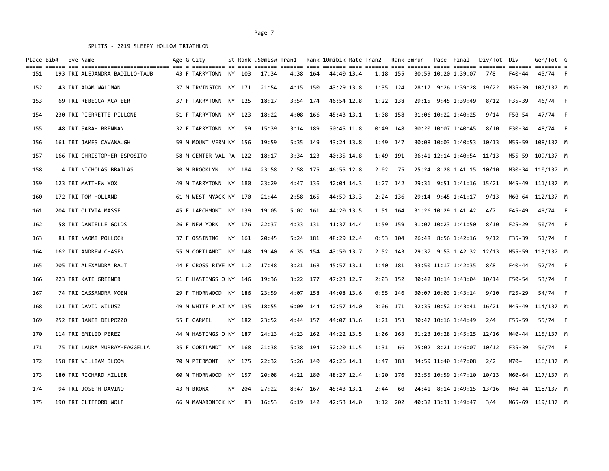| Place Bib# |  | Eve Name                       | Age G City             |        |       |            |     |            | St Rank .50misw Tran1   Rank 10mibik Rate Tran2   Rank 3mrun |            |  | Pace Final                | Div/Tot Div |        | Gen/Tot G<br>$=$ $=$ $=$ $=$ $=$ |      |
|------------|--|--------------------------------|------------------------|--------|-------|------------|-----|------------|--------------------------------------------------------------|------------|--|---------------------------|-------------|--------|----------------------------------|------|
| 151        |  | 193 TRI ALEJANDRA BADILLO-TAUB | 43 F TARRYTOWN NY 103  |        | 17:34 | 4:38 164   |     | 44:40 13.4 |                                                              | $1:18$ 155 |  | 30:59 10:20 1:39:07       | 7/8         | F40-44 | 45/74                            | $-F$ |
| 152        |  | 43 TRI ADAM WALDMAN            | 37 M IRVINGTON NY 171  |        | 21:54 | $4:15$ 150 |     | 43:29 13.8 |                                                              | $1:35$ 124 |  | 28:17 9:26 1:39:28 19/22  |             |        | M35-39 107/137 M                 |      |
| 153        |  | 69 TRI REBECCA MCATEER         | 37 F TARRYTOWN NY 125  |        | 18:27 | 3:54 174   |     | 46:54 12.8 |                                                              | 1:22 138   |  | 29:15 9:45 1:39:49        | 8/12        | F35-39 | 46/74                            | $-F$ |
| 154        |  | 230 TRI PIERRETTE PILLONE      | 51 F TARRYTOWN NY 123  |        | 18:22 | 4:08 166   |     | 45:43 13.1 |                                                              | 1:08 158   |  | 31:06 10:22 1:40:25       | 9/14        | F50-54 | 47/74                            | $-F$ |
| 155        |  | 48 TRI SARAH BRENNAN           | 32 F TARRYTOWN NY      | 59     | 15:39 | 3:14 189   |     | 50:45 11.8 |                                                              | $0:49$ 148 |  | 30:20 10:07 1:40:45       | 8/10        | F30-34 | 48/74 F                          |      |
| 156        |  | 161 TRI JAMES CAVANAUGH        | 59 M MOUNT VERN NY 156 |        | 19:59 | 5:35 149   |     | 43:24 13.8 |                                                              | 1:49 147   |  | 30:08 10:03 1:40:53 10/13 |             | M55-59 | 108/137 M                        |      |
| 157        |  | 166 TRI CHRISTOPHER ESPOSITO   | 58 M CENTER VAL PA 122 |        | 18:17 | $3:34$ 123 |     | 40:35 14.8 | 1:49                                                         | 191        |  | 36:41 12:14 1:40:54 11/13 |             |        | M55-59 109/137 M                 |      |
| 158        |  | 4 TRI NICHOLAS BRAILAS         | 30 M BROOKLYN          | NY 184 | 23:58 | 2:58       | 175 | 46:55 12.8 | 2:02                                                         | 75         |  | 25:24 8:28 1:41:15 10/10  |             |        | M30-34 110/137 M                 |      |
| 159        |  | 123 TRI MATTHEW YOX            | 49 M TARRYTOWN NY 180  |        | 23:29 | 4:47 136   |     | 42:04 14.3 | $1:27$ 142                                                   |            |  | 29:31 9:51 1:41:16 15/21  |             |        | M45-49 111/137 M                 |      |
| 160        |  | 172 TRI TOM HOLLAND            | 61 M WEST NYACK NY 170 |        | 21:44 | 2:58       | 165 | 44:59 13.3 |                                                              | 2:24 136   |  | 29:14 9:45 1:41:17        | 9/13        |        | M60-64 112/137 M                 |      |
| 161        |  | 204 TRI OLIVIA MASSE           | 45 F LARCHMONT NY 139  |        | 19:05 | $5:02$ 161 |     | 44:20 13.5 | 1:51 164                                                     |            |  | 31:26 10:29 1:41:42       | 4/7         | F45-49 | 49/74                            | F    |
| 162        |  | 58 TRI DANIELLE GOLDS          | 26 F NEW YORK          | NY 176 | 22:37 | 4:33       | 131 | 41:37 14.4 |                                                              | 1:59 159   |  | 31:07 10:23 1:41:50       | 8/10        | F25-29 | 50/74                            | $-F$ |
| 163        |  | 81 TRI NAOMI POLLOCK           | 37 F OSSINING          | NY 161 | 20:45 | $5:24$ 181 |     | 48:29 12.4 |                                                              | $0:53$ 104 |  | 26:48 8:56 1:42:16        | 9/12        | F35-39 | 51/74 F                          |      |
| 164        |  | 162 TRI ANDREW CHASEN          | 55 M CORTLANDT NY 148  |        | 19:40 | 6:35       | 154 | 43:50 13.7 |                                                              | $2:52$ 143 |  | 29:37 9:53 1:42:32 12/13  |             | M55-59 | 113/137 M                        |      |
| 165        |  | 205 TRI ALEXANDRA RAUT         | 44 F CROSS RIVE NY 112 |        | 17:48 | $3:21$ 168 |     | 45:57 13.1 | 1:40                                                         | 181        |  | 33:50 11:17 1:42:35       | 8/8         | F40-44 | 52/74                            | – F  |
| 166        |  | 223 TRI KATE GREENER           | 51 F HASTINGS 0 NY 146 |        | 19:36 | $3:22$ 177 |     | 47:23 12.7 |                                                              | $2:03$ 152 |  | 30:42 10:14 1:43:04       | 10/14       | F50-54 | 53/74                            | $-F$ |
| 167        |  | 74 TRI CASSANDRA MOEN          | 29 F THORNWOOD NY 186  |        | 23:59 | 4:07 158   |     | 44:08 13.6 |                                                              | $0:55$ 146 |  | 30:07 10:03 1:43:14       | 9/10        | F25-29 | 54/74 F                          |      |
| 168        |  | 121 TRI DAVID WILUSZ           | 49 M WHITE PLAI NY 135 |        | 18:55 | $6:09$ 144 |     | 42:57 14.0 |                                                              | $3:06$ 171 |  | 32:35 10:52 1:43:41 16/21 |             |        | M45-49 114/137 M                 |      |
| 169        |  | 252 TRI JANET DELPOZZO         | 55 F CARMEL            | NY 182 | 23:52 | 4:44 157   |     | 44:07 13.6 |                                                              | $1:21$ 153 |  | 30:47 10:16 1:44:49       | 2/4         | F55-59 | 55/74 F                          |      |
| 170        |  | 114 TRI EMILIO PEREZ           | 44 M HASTINGS O NY 187 |        | 24:13 | $4:23$ 162 |     | 44:22 13.5 |                                                              | 1:06 163   |  | 31:23 10:28 1:45:25 12/16 |             |        | M40-44 115/137 M                 |      |
| 171        |  | 75 TRI LAURA MURRAY-FAGGELLA   | 35 F CORTLANDT NY 168  |        | 21:38 | 5:38 194   |     | 52:20 11.5 | 1:31                                                         | 66         |  | 25:02 8:21 1:46:07 10/12  |             | F35-39 | 56/74 F                          |      |
| 172        |  | 158 TRI WILLIAM BLOOM          | 70 M PIERMONT          | NY 175 | 22:32 | $5:26$ 140 |     | 42:26 14.1 |                                                              | 1:47 188   |  | 34:59 11:40 1:47:08       | 2/2         | M70+   | 116/137 M                        |      |
| 173        |  | 180 TRI RICHARD MILLER         | 60 M THORNWOOD         | NY 157 | 20:08 | $4:21$ 180 |     | 48:27 12.4 | 1:20                                                         | 176        |  | 32:55 10:59 1:47:10       | 10/13       | M60-64 | 117/137 M                        |      |
| 174        |  | 94 TRI JOSEPH DAVINO           | 43 M BRONX             | NY 204 | 27:22 | $8:47$ 167 |     | 45:43 13.1 | 2:44                                                         | 60         |  | 24:41 8:14 1:49:15 13/16  |             |        | M40-44 118/137 M                 |      |
| 175        |  | 190 TRI CLIFFORD WOLF          | 66 M MAMARONECK NY     | 83     | 16:53 | $6:19$ 142 |     | 42:53 14.0 |                                                              | $3:12$ 202 |  | 40:32 13:31 1:49:47 3/4   |             |        | M65-69 119/137 M                 |      |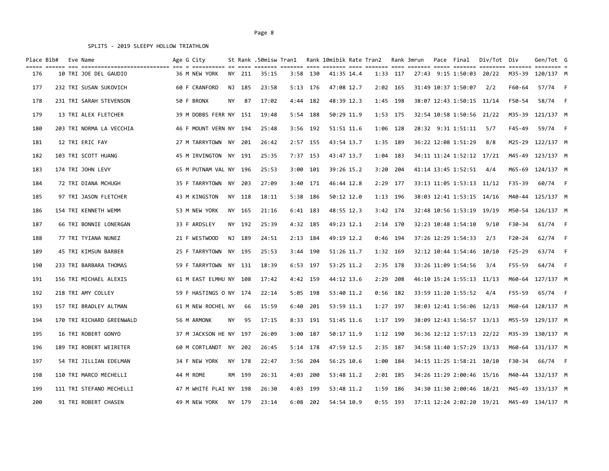| Place Bib# |  | Eve Name                  | Age G City<br>stitution of foot defect contine foot defects foot defects con footing foot contine footing contine footing s |    |        | St Rank .50misw Tran1 |      |            | Rank 10mibik Rate Tran2 |            |            | Rank 3mrun | Pace Final                | Div/Tot Div |            | Gen/Tot G        |  |
|------------|--|---------------------------|-----------------------------------------------------------------------------------------------------------------------------|----|--------|-----------------------|------|------------|-------------------------|------------|------------|------------|---------------------------|-------------|------------|------------------|--|
| 176        |  | 10 TRI JOE DEL GAUDIO     | 36 M NEW YORK                                                                                                               |    | NY 211 | 35:15                 |      | 3:58 130   | 41:35 14.4              | 1:33 117   |            |            | 27:43 9:15 1:50:03 20/22  |             |            | M35-39 120/137 M |  |
| 177        |  | 232 TRI SUSAN SUKOVICH    | 60 F CRANFORD                                                                                                               |    | NJ 185 | 23:58                 |      | 5:13 176   | 47:08 12.7              |            | 2:02 165   |            | 31:49 10:37 1:50:07       | 2/2         | F60-64     | 57/74 F          |  |
| 178        |  | 231 TRI SARAH STEVENSON   | 50 F BRONX                                                                                                                  | ΝY | 87     | 17:02                 |      | 4:44 182   | 48:39 12.3              | 1:45 198   |            |            | 38:07 12:43 1:50:15 11/14 |             | F50-54     | 58/74 F          |  |
| 179        |  | 13 TRI ALEX FLETCHER      | 39 M DOBBS FERR NY 151                                                                                                      |    |        | 19:48                 |      | 5:54 188   | 50:29 11.9              | 1:53 175   |            |            | 32:54 10:58 1:50:56 21/22 |             |            | M35-39 121/137 M |  |
| 180        |  | 203 TRI NORMA LA VECCHIA  | 46 F MOUNT VERN NY 194                                                                                                      |    |        | 25:48                 |      | 3:56 192   | 51:51 11.6              | 1:06 128   |            |            | 28:32 9:31 1:51:11        | 5/7         | F45-49     | 59/74 F          |  |
| 181        |  | 12 TRI ERIC FAY           | 27 M TARRYTOWN NY 201                                                                                                       |    |        | 26:42                 |      | $2:57$ 155 | 43:54 13.7              | 1:35 189   |            |            | 36:22 12:08 1:51:29       | 8/8         |            | M25-29 122/137 M |  |
| 182        |  | 103 TRI SCOTT HUANG       | 45 M IRVINGTON NY 191                                                                                                       |    |        | 25:35                 |      | 7:37 153   | 43:47 13.7              | 1:04 183   |            |            | 34:11 11:24 1:52:12 17/21 |             |            | M45-49 123/137 M |  |
| 183        |  | 174 TRI JOHN LEVY         | 65 M PUTNAM VAL NY 196                                                                                                      |    |        | 25:53                 |      | $3:00$ 101 | 39:26 15.2              | 3:20       | 204        |            | 41:14 13:45 1:52:51       | 4/4         |            | M65-69 124/137 M |  |
| 184        |  | 72 TRI DIANA MCHUGH       | 35 F TARRYTOWN NY 203                                                                                                       |    |        | 27:09                 |      | 3:40 171   | 46:44 12.8              | $2:29$ 177 |            |            | 33:13 11:05 1:53:13 11/12 |             | F35-39     | 60/74 F          |  |
| 185        |  | 97 TRI JASON FLETCHER     | 43 M KINGSTON                                                                                                               |    | NY 118 | 18:11                 |      | 5:38 186   | 50:12 12.0              | 1:13 196   |            |            | 38:03 12:41 1:53:15 14/16 |             |            | M40-44 125/137 M |  |
| 186        |  | 154 TRI KENNETH WEMM      | 53 M NEW YORK                                                                                                               |    | NY 165 | 21:16                 |      | 6:41 183   | 48:55 12.3              | $3:42$ 174 |            |            | 32:48 10:56 1:53:19 19/19 |             |            | M50-54 126/137 M |  |
| 187        |  | 66 TRI BONNIE LONERGAN    | 33 F ARDSLEY                                                                                                                |    | NY 192 | 25:39                 |      | 4:32 185   | 49:23 12.1              |            | 2:14 170   |            | 32:23 10:48 1:54:10       | 9/10        | F30-34     | $61/74$ F        |  |
| 188        |  | 77 TRI TYIANA NUNEZ       | 21 F WESTWOOD                                                                                                               |    | NJ 189 | 24:51                 |      | $2:13$ 184 | 49:19 12.2              | $0:46$ 194 |            |            | 37:26 12:29 1:54:33       | 2/3         | $F20 - 24$ | 62/74 F          |  |
| 189        |  | 45 TRI KIMSUN BARBER      | 25 F TARRYTOWN                                                                                                              |    | NY 195 | 25:53                 | 3:44 | 190        | 51:26 11.7              | 1:32 169   |            |            | 32:12 10:44 1:54:46       | 10/10       | $F25 - 29$ | 63/74 F          |  |
| 190        |  | 233 TRI BARBARA THOMAS    | 59 F TARRYTOWN NY 131                                                                                                       |    |        | 18:39                 |      | 6:53 197   | 53:25 11.2              | 2:35 178   |            |            | 33:26 11:09 1:54:56       | 3/4         | F55-59     | 64/74 F          |  |
| 191        |  | 156 TRI MICHAEL ALEXIS    | 61 M EAST ELMHU NY 108                                                                                                      |    |        | 17:42                 |      | 4:42 159   | 44:12 13.6              | 2:29       | 208        |            | 46:10 15:24 1:55:13 11/13 |             |            | M60-64 127/137 M |  |
| 192        |  | 218 TRI AMY COLLEY        | 59 F HASTINGS O NY 174                                                                                                      |    |        | 22:14                 |      | 5:05 198   | 53:40 11.2              |            | $0:56$ 182 |            | 33:59 11:20 1:55:52       | 4/4         | F55-59     | 65/74 F          |  |
| 193        |  | 157 TRI BRADLEY ALTMAN    | 61 M NEW ROCHEL NY                                                                                                          |    | 66     | 15:59                 | 6:40 | 201        | 53:59 11.1              | $1:27$ 197 |            |            | 38:03 12:41 1:56:06 12/13 |             |            | M60-64 128/137 M |  |
| 194        |  | 170 TRI RICHARD GREENWALD | 56 M ARMONK                                                                                                                 | ΝY | 95     | 17:15                 |      | 8:33 191   | 51:45 11.6              | 1:17 199   |            |            | 38:09 12:43 1:56:57 13/13 |             |            | M55-59 129/137 M |  |
| 195        |  | 16 TRI ROBERT GONYO       | 37 M JACKSON HE NY 197                                                                                                      |    |        | 26:09                 |      | 3:00 187   | 50:17 11.9              | 1:12 190   |            |            | 36:36 12:12 1:57:13 22/22 |             |            | M35-39 130/137 M |  |
| 196        |  | 189 TRI ROBERT WEIRETER   | 60 M CORTLANDT NY 202                                                                                                       |    |        | 26:45                 |      | 5:14 178   | 47:59 12.5              | 2:35 187   |            |            | 34:58 11:40 1:57:29 13/13 |             |            | M60-64 131/137 M |  |
| 197        |  | 54 TRI JILLIAN EDELMAN    | 34 F NEW YORK                                                                                                               |    | NY 178 | 22:47                 |      | 3:56 204   | 56:25 10.6              | 1:00 184   |            |            | 34:15 11:25 1:58:21 10/10 |             | F30-34     | 66/74 F          |  |
| 198        |  | 110 TRI MARCO MECHELLI    | 44 M ROME                                                                                                                   |    | RM 199 | 26:31                 | 4:03 | 200        | 53:48 11.2              |            | 2:01 185   |            | 34:26 11:29 2:00:46 15/16 |             |            | M40-44 132/137 M |  |
| 199        |  | 111 TRI STEFANO MECHELLI  | 47 M WHITE PLAI NY 198                                                                                                      |    |        | 26:30                 |      | 4:03 199   | 53:48 11.2              | 1:59 186   |            |            | 34:30 11:30 2:00:46 18/21 |             |            | M45-49 133/137 M |  |
| 200        |  | 91 TRI ROBERT CHASEN      | 49 M NEW YORK NY 179                                                                                                        |    |        | 23:14                 | 6:08 | 202        | 54:54 10.9              |            | $0:55$ 193 |            | 37:11 12:24 2:02:20 19/21 |             |            | M45-49 134/137 M |  |